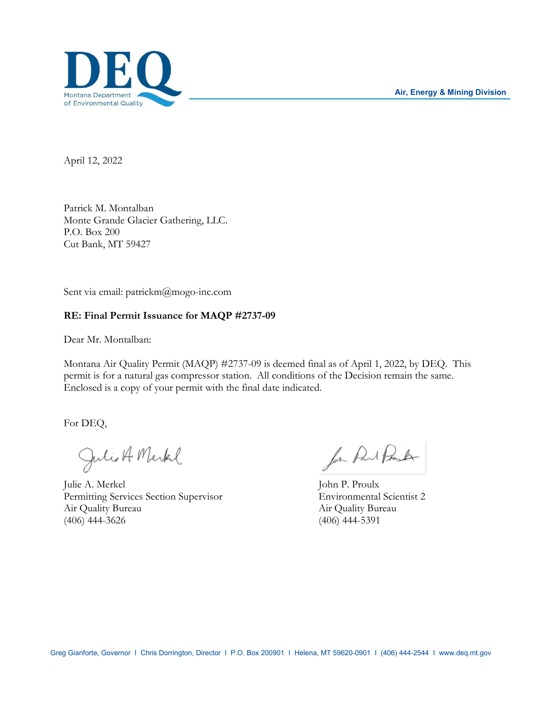

April 12, 2022

Patrick M. Montalban Monte Grande Glacier Gathering, LLC. P.O. Box 200 Cut Bank, MT 59427

Sent via email: patrickm@mogo-inc.com

## **RE: Final Permit Issuance for MAQP #2737-09**

Dear Mr. Montalban:

Montana Air Quality Permit (MAQP) #2737-09 is deemed final as of April 1, 2022, by DEQ. This permit is for a natural gas compressor station. All conditions of the Decision remain the same. Enclosed is a copy of your permit with the final date indicated.

For DEQ,

Julio A Merkel

Julie A. Merkel John P. Proulx Permitting Services Section Supervisor Environmental Scientist 2 Air Quality Bureau Air Quality Bureau Air Quality Bureau (406) 444-3626 (406) 444-5391

for Part Prouder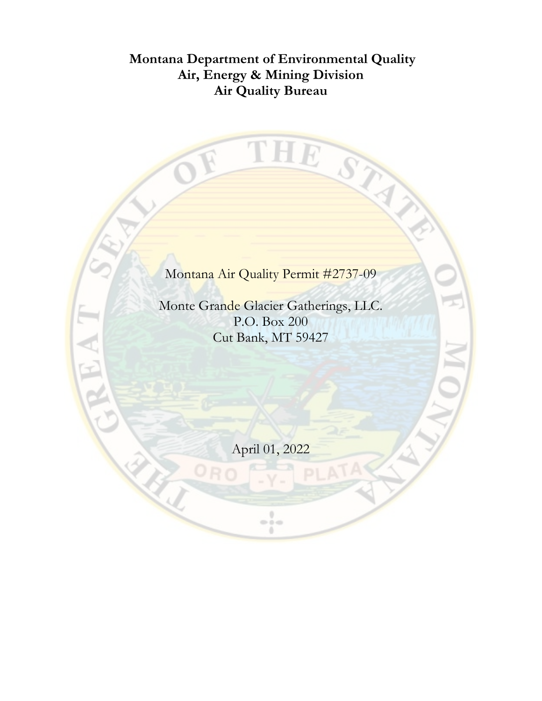# **Montana Department of Environmental Quality Air, Energy & Mining Division Air Quality Bureau**

THE STAN  $\bigcirc$ Montana Air Quality Permit #2737-09 Monte Grande Glacier Gatherings, LLC. P.O. Box 200 Cut Bank, MT 59427 April 01, 2022 $\frac{1}{2}$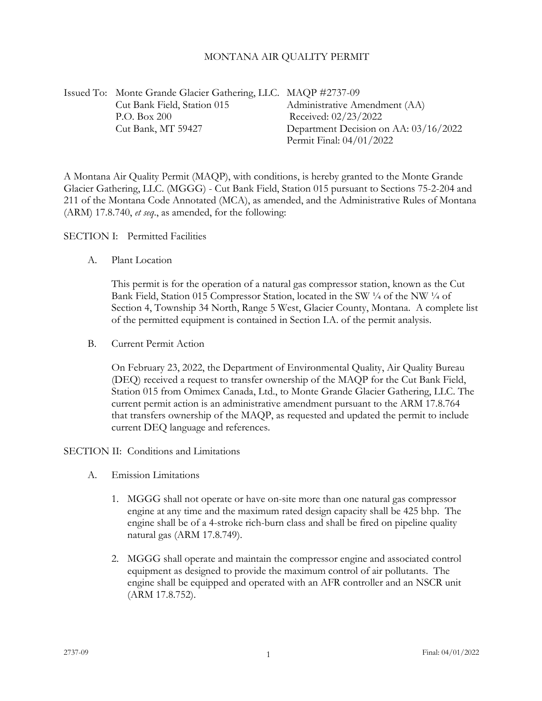#### MONTANA AIR QUALITY PERMIT

Issued To: Monte Grande Glacier Gathering, LLC. MAQP #2737-09 Cut Bank Field, Station 015 Administrative Amendment (AA) P.O. Box 200 Received: 02/23/2022 Cut Bank, MT 59427 Department Decision on AA: 03/16/2022 Permit Final: 04/01/2022

A Montana Air Quality Permit (MAQP), with conditions, is hereby granted to the Monte Grande Glacier Gathering, LLC. (MGGG) - Cut Bank Field, Station 015 pursuant to Sections 75-2-204 and 211 of the Montana Code Annotated (MCA), as amended, and the Administrative Rules of Montana (ARM) 17.8.740, *et seq*., as amended, for the following:

SECTION I: Permitted Facilities

A. Plant Location

This permit is for the operation of a natural gas compressor station, known as the Cut Bank Field, Station 015 Compressor Station, located in the SW ¼ of the NW ¼ of Section 4, Township 34 North, Range 5 West, Glacier County, Montana. A complete list of the permitted equipment is contained in Section I.A. of the permit analysis.

B. Current Permit Action

On February 23, 2022, the Department of Environmental Quality, Air Quality Bureau (DEQ) received a request to transfer ownership of the MAQP for the Cut Bank Field, Station 015 from Omimex Canada, Ltd., to Monte Grande Glacier Gathering, LLC. The current permit action is an administrative amendment pursuant to the ARM 17.8.764 that transfers ownership of the MAQP, as requested and updated the permit to include current DEQ language and references.

SECTION II: Conditions and Limitations

- A. Emission Limitations
	- 1. MGGG shall not operate or have on-site more than one natural gas compressor engine at any time and the maximum rated design capacity shall be 425 bhp. The engine shall be of a 4-stroke rich-burn class and shall be fired on pipeline quality natural gas (ARM 17.8.749).
	- 2. MGGG shall operate and maintain the compressor engine and associated control equipment as designed to provide the maximum control of air pollutants. The engine shall be equipped and operated with an AFR controller and an NSCR unit (ARM 17.8.752).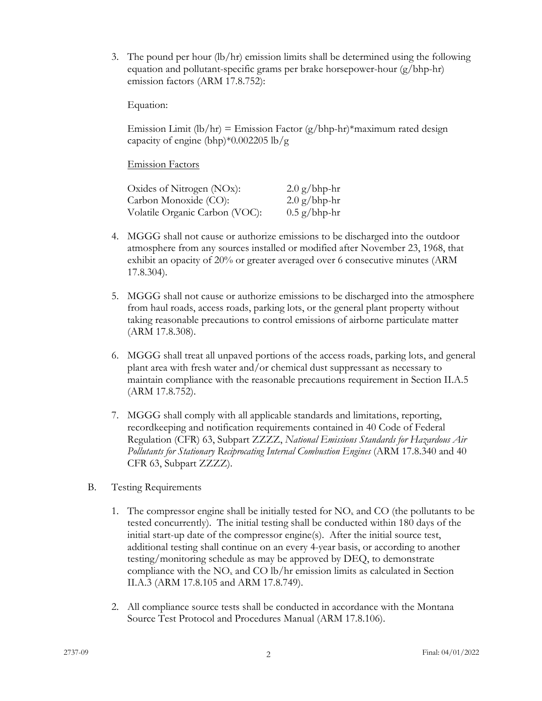<span id="page-3-1"></span>3. The pound per hour (lb/hr) emission limits shall be determined using the following equation and pollutant-specific grams per brake horsepower-hour (g/bhp-hr) emission factors (ARM 17.8.752):

Equation:

Emission Limit (lb/hr) = Emission Factor  $(g/bhp-hr)^*$ maximum rated design capacity of engine (bhp)\*0.002205 lb/g

Emission Factors

| Oxides of Nitrogen (NOx):      | $2.0$ g/bhp-hr |
|--------------------------------|----------------|
| Carbon Monoxide (CO):          | $2.0$ g/bhp-hr |
| Volatile Organic Carbon (VOC): | $0.5$ g/bhp-hr |

- 4. MGGG shall not cause or authorize emissions to be discharged into the outdoor atmosphere from any sources installed or modified after November 23, 1968, that exhibit an opacity of 20% or greater averaged over 6 consecutive minutes (ARM 17.8.304).
- 5. MGGG shall not cause or authorize emissions to be discharged into the atmosphere from haul roads, access roads, parking lots, or the general plant property without taking reasonable precautions to control emissions of airborne particulate matter (ARM 17.8.308).
- <span id="page-3-0"></span>6. MGGG shall treat all unpaved portions of the access roads, parking lots, and general plant area with fresh water and/or chemical dust suppressant as necessary to maintain compliance with the reasonable precautions requirement in Section II.[A.5](#page-3-0) (ARM 17.8.752).
- 7. MGGG shall comply with all applicable standards and limitations, reporting, recordkeeping and notification requirements contained in 40 Code of Federal Regulation (CFR) 63, Subpart ZZZZ, *National Emissions Standards for Hazardous Air Pollutants for Stationary Reciprocating Internal Combustion Engines* (ARM 17.8.340 and 40 CFR 63, Subpart ZZZZ).
- B. Testing Requirements
	- 1. The compressor engine shall be initially tested for  $NO<sub>x</sub>$  and CO (the pollutants to be tested concurrently). The initial testing shall be conducted within 180 days of the initial start-up date of the compressor engine(s). After the initial source test, additional testing shall continue on an every 4-year basis, or according to another testing/monitoring schedule as may be approved by DEQ, to demonstrate compliance with the  $NO<sub>x</sub>$  and  $CO$  lb/hr emission limits as calculated in Section II.A[.3](#page-3-1) (ARM 17.8.105 and ARM 17.8.749).
	- 2. All compliance source tests shall be conducted in accordance with the Montana Source Test Protocol and Procedures Manual (ARM 17.8.106).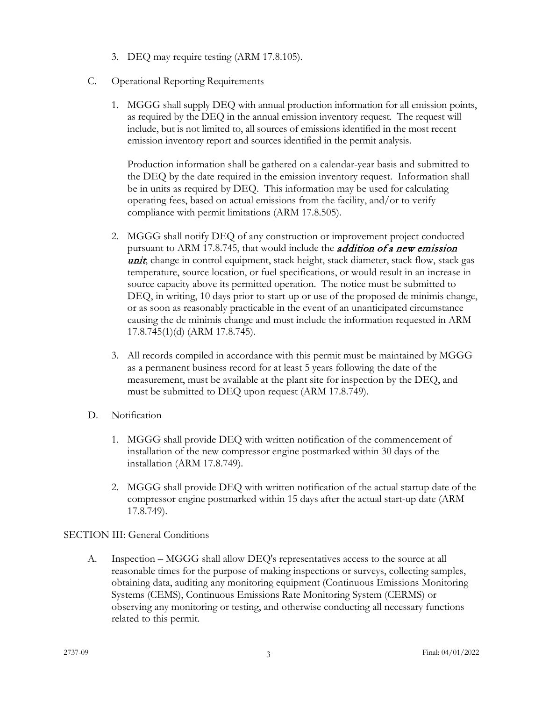- 3. DEQ may require testing (ARM 17.8.105).
- C. Operational Reporting Requirements
	- 1. MGGG shall supply DEQ with annual production information for all emission points, as required by the DEQ in the annual emission inventory request. The request will include, but is not limited to, all sources of emissions identified in the most recent emission inventory report and sources identified in the permit analysis.

Production information shall be gathered on a calendar-year basis and submitted to the DEQ by the date required in the emission inventory request. Information shall be in units as required by DEQ. This information may be used for calculating operating fees, based on actual emissions from the facility, and/or to verify compliance with permit limitations (ARM 17.8.505).

- 2. MGGG shall notify DEQ of any construction or improvement project conducted pursuant to ARM 17.8.745, that would include the *addition of a new emission* unit, change in control equipment, stack height, stack diameter, stack flow, stack gas temperature, source location, or fuel specifications, or would result in an increase in source capacity above its permitted operation. The notice must be submitted to DEQ, in writing, 10 days prior to start-up or use of the proposed de minimis change, or as soon as reasonably practicable in the event of an unanticipated circumstance causing the de minimis change and must include the information requested in ARM 17.8.745(1)(d) (ARM 17.8.745).
- 3. All records compiled in accordance with this permit must be maintained by MGGG as a permanent business record for at least 5 years following the date of the measurement, must be available at the plant site for inspection by the DEQ, and must be submitted to DEQ upon request (ARM 17.8.749).
- D. Notification
	- 1. MGGG shall provide DEQ with written notification of the commencement of installation of the new compressor engine postmarked within 30 days of the installation (ARM 17.8.749).
	- 2. MGGG shall provide DEQ with written notification of the actual startup date of the compressor engine postmarked within 15 days after the actual start-up date (ARM 17.8.749).

## SECTION III: General Conditions

A. Inspection – MGGG shall allow DEQ's representatives access to the source at all reasonable times for the purpose of making inspections or surveys, collecting samples, obtaining data, auditing any monitoring equipment (Continuous Emissions Monitoring Systems (CEMS), Continuous Emissions Rate Monitoring System (CERMS) or observing any monitoring or testing, and otherwise conducting all necessary functions related to this permit.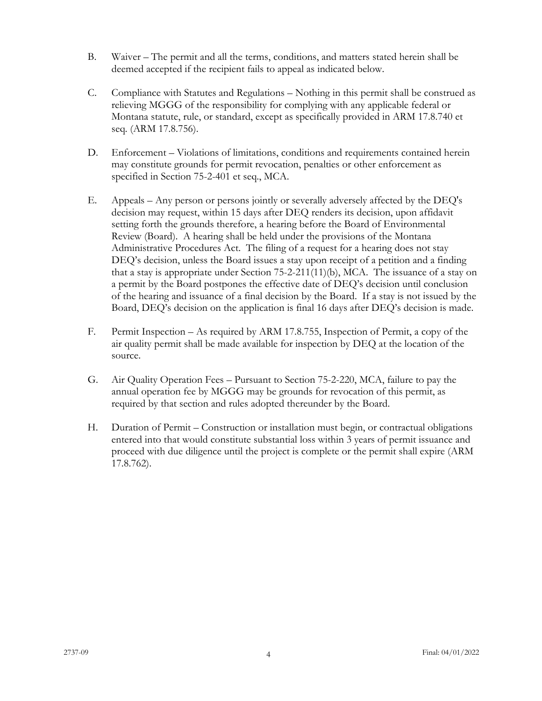- B. Waiver The permit and all the terms, conditions, and matters stated herein shall be deemed accepted if the recipient fails to appeal as indicated below.
- C. Compliance with Statutes and Regulations Nothing in this permit shall be construed as relieving MGGG of the responsibility for complying with any applicable federal or Montana statute, rule, or standard, except as specifically provided in ARM 17.8.740 et seq. (ARM 17.8.756).
- D. Enforcement Violations of limitations, conditions and requirements contained herein may constitute grounds for permit revocation, penalties or other enforcement as specified in Section 75-2-401 et seq., MCA.
- E. Appeals Any person or persons jointly or severally adversely affected by the DEQ's decision may request, within 15 days after DEQ renders its decision, upon affidavit setting forth the grounds therefore, a hearing before the Board of Environmental Review (Board). A hearing shall be held under the provisions of the Montana Administrative Procedures Act. The filing of a request for a hearing does not stay DEQ's decision, unless the Board issues a stay upon receipt of a petition and a finding that a stay is appropriate under Section 75-2-211(11)(b), MCA. The issuance of a stay on a permit by the Board postpones the effective date of DEQ's decision until conclusion of the hearing and issuance of a final decision by the Board. If a stay is not issued by the Board, DEQ's decision on the application is final 16 days after DEQ's decision is made.
- F. Permit Inspection As required by ARM 17.8.755, Inspection of Permit, a copy of the air quality permit shall be made available for inspection by DEQ at the location of the source.
- G. Air Quality Operation Fees Pursuant to Section 75-2-220, MCA, failure to pay the annual operation fee by MGGG may be grounds for revocation of this permit, as required by that section and rules adopted thereunder by the Board.
- H. Duration of Permit Construction or installation must begin, or contractual obligations entered into that would constitute substantial loss within 3 years of permit issuance and proceed with due diligence until the project is complete or the permit shall expire (ARM 17.8.762).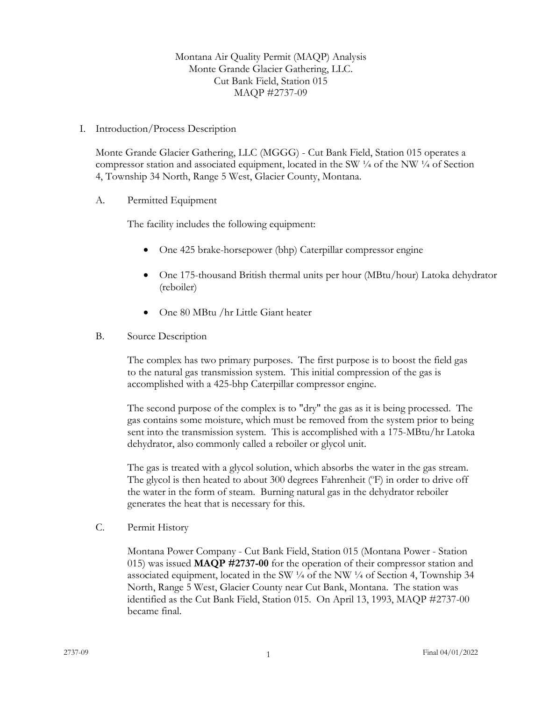Montana Air Quality Permit (MAQP) Analysis Monte Grande Glacier Gathering, LLC. Cut Bank Field, Station 015 MAQP #2737-09

I. Introduction/Process Description

Monte Grande Glacier Gathering, LLC (MGGG) - Cut Bank Field, Station 015 operates a compressor station and associated equipment, located in the SW  $\frac{1}{4}$  of the NW  $\frac{1}{4}$  of Section 4, Township 34 North, Range 5 West, Glacier County, Montana.

A. Permitted Equipment

The facility includes the following equipment:

- One 425 brake-horsepower (bhp) Caterpillar compressor engine
- One 175-thousand British thermal units per hour (MBtu/hour) Latoka dehydrator (reboiler)
- One 80 MBtu /hr Little Giant heater
- B. Source Description

The complex has two primary purposes. The first purpose is to boost the field gas to the natural gas transmission system. This initial compression of the gas is accomplished with a 425-bhp Caterpillar compressor engine.

The second purpose of the complex is to "dry" the gas as it is being processed. The gas contains some moisture, which must be removed from the system prior to being sent into the transmission system. This is accomplished with a 175-MBtu/hr Latoka dehydrator, also commonly called a reboiler or glycol unit.

The gas is treated with a glycol solution, which absorbs the water in the gas stream. The glycol is then heated to about 300 degrees Fahrenheit (°F) in order to drive off the water in the form of steam. Burning natural gas in the dehydrator reboiler generates the heat that is necessary for this.

C. Permit History

Montana Power Company - Cut Bank Field, Station 015 (Montana Power - Station 015) was issued **MAQP #2737-00** for the operation of their compressor station and associated equipment, located in the SW  $\frac{1}{4}$  of the NW  $\frac{1}{4}$  of Section 4, Township 34 North, Range 5 West, Glacier County near Cut Bank, Montana. The station was identified as the Cut Bank Field, Station 015. On April 13, 1993, MAQP #2737-00 became final.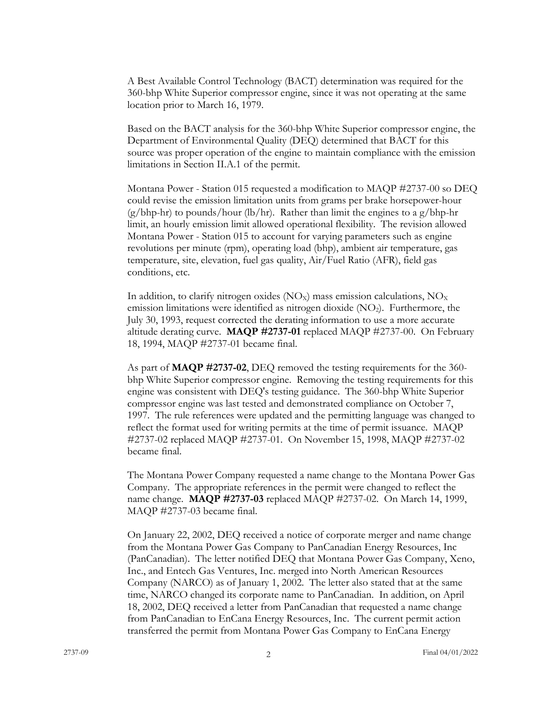A Best Available Control Technology (BACT) determination was required for the 360-bhp White Superior compressor engine, since it was not operating at the same location prior to March 16, 1979.

Based on the BACT analysis for the 360-bhp White Superior compressor engine, the Department of Environmental Quality (DEQ) determined that BACT for this source was proper operation of the engine to maintain compliance with the emission limitations in Section II.A.1 of the permit.

Montana Power - Station 015 requested a modification to MAQP #2737-00 so DEQ could revise the emission limitation units from grams per brake horsepower-hour  $(g/bhp-hr)$  to pounds/hour (lb/hr). Rather than limit the engines to a g/bhp-hr limit, an hourly emission limit allowed operational flexibility. The revision allowed Montana Power - Station 015 to account for varying parameters such as engine revolutions per minute (rpm), operating load (bhp), ambient air temperature, gas temperature, site, elevation, fuel gas quality, Air/Fuel Ratio (AFR), field gas conditions, etc.

In addition, to clarify nitrogen oxides  $(NO<sub>X</sub>)$  mass emission calculations,  $NO<sub>X</sub>$ emission limitations were identified as nitrogen dioxide  $(NO<sub>2</sub>)$ . Furthermore, the July 30, 1993, request corrected the derating information to use a more accurate altitude derating curve. **MAQP #2737-01** replaced MAQP #2737-00. On February 18, 1994, MAQP #2737-01 became final.

As part of **MAQP #2737-02**, DEQ removed the testing requirements for the 360 bhp White Superior compressor engine. Removing the testing requirements for this engine was consistent with DEQ's testing guidance. The 360-bhp White Superior compressor engine was last tested and demonstrated compliance on October 7, 1997. The rule references were updated and the permitting language was changed to reflect the format used for writing permits at the time of permit issuance. MAQP #2737-02 replaced MAQP #2737-01. On November 15, 1998, MAQP #2737-02 became final.

The Montana Power Company requested a name change to the Montana Power Gas Company. The appropriate references in the permit were changed to reflect the name change. **MAQP #2737-03** replaced MAQP #2737-02. On March 14, 1999, MAQP #2737-03 became final.

On January 22, 2002, DEQ received a notice of corporate merger and name change from the Montana Power Gas Company to PanCanadian Energy Resources, Inc (PanCanadian). The letter notified DEQ that Montana Power Gas Company, Xeno, Inc., and Entech Gas Ventures, Inc. merged into North American Resources Company (NARCO) as of January 1, 2002. The letter also stated that at the same time, NARCO changed its corporate name to PanCanadian. In addition, on April 18, 2002, DEQ received a letter from PanCanadian that requested a name change from PanCanadian to EnCana Energy Resources, Inc. The current permit action transferred the permit from Montana Power Gas Company to EnCana Energy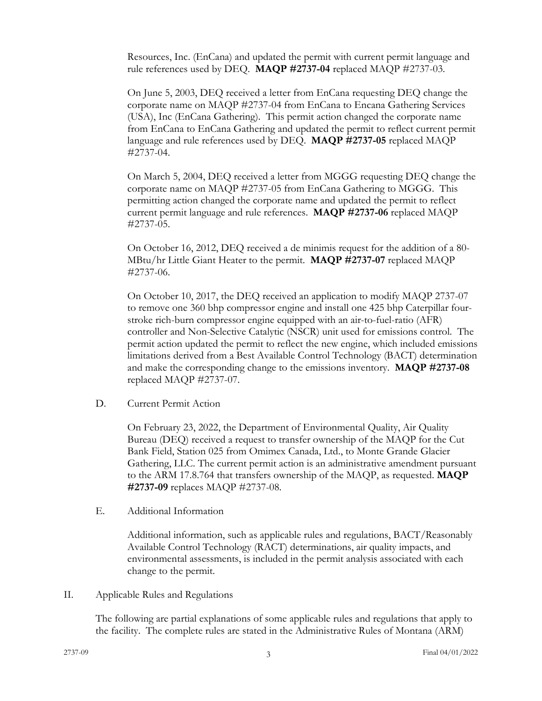Resources, Inc. (EnCana) and updated the permit with current permit language and rule references used by DEQ. **MAQP #2737-04** replaced MAQP #2737-03.

On June 5, 2003, DEQ received a letter from EnCana requesting DEQ change the corporate name on MAQP #2737-04 from EnCana to Encana Gathering Services (USA), Inc (EnCana Gathering). This permit action changed the corporate name from EnCana to EnCana Gathering and updated the permit to reflect current permit language and rule references used by DEQ. **MAQP #2737-05** replaced MAQP #2737-04.

On March 5, 2004, DEQ received a letter from MGGG requesting DEQ change the corporate name on MAQP #2737-05 from EnCana Gathering to MGGG. This permitting action changed the corporate name and updated the permit to reflect current permit language and rule references. **MAQP #2737-06** replaced MAQP #2737-05.

On October 16, 2012, DEQ received a de minimis request for the addition of a 80- MBtu/hr Little Giant Heater to the permit. **MAQP #2737-07** replaced MAQP #2737-06.

On October 10, 2017, the DEQ received an application to modify MAQP 2737-07 to remove one 360 bhp compressor engine and install one 425 bhp Caterpillar fourstroke rich-burn compressor engine equipped with an air-to-fuel-ratio (AFR) controller and Non-Selective Catalytic (NSCR) unit used for emissions control. The permit action updated the permit to reflect the new engine, which included emissions limitations derived from a Best Available Control Technology (BACT) determination and make the corresponding change to the emissions inventory. **MAQP #2737-08** replaced MAQP #2737-07.

D. Current Permit Action

On February 23, 2022, the Department of Environmental Quality, Air Quality Bureau (DEQ) received a request to transfer ownership of the MAQP for the Cut Bank Field, Station 025 from Omimex Canada, Ltd., to Monte Grande Glacier Gathering, LLC. The current permit action is an administrative amendment pursuant to the ARM 17.8.764 that transfers ownership of the MAQP, as requested. **MAQP #2737-09** replaces MAQP #2737-08.

E. Additional Information

Additional information, such as applicable rules and regulations, BACT/Reasonably Available Control Technology (RACT) determinations, air quality impacts, and environmental assessments, is included in the permit analysis associated with each change to the permit.

II. Applicable Rules and Regulations

The following are partial explanations of some applicable rules and regulations that apply to the facility. The complete rules are stated in the Administrative Rules of Montana (ARM)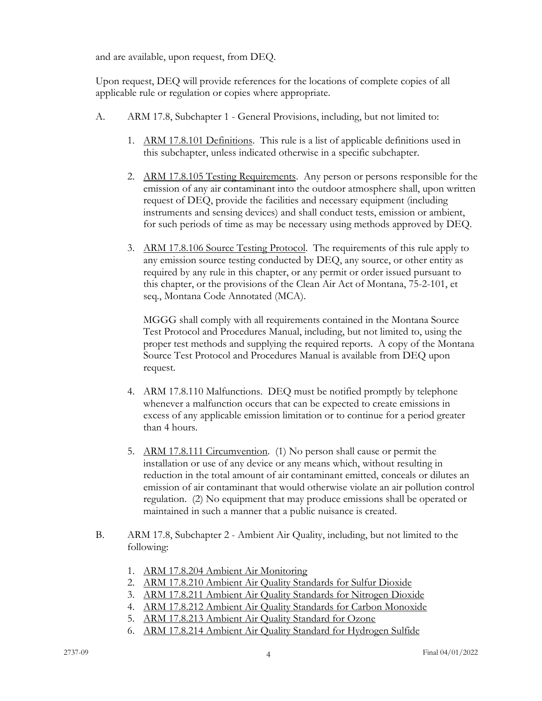and are available, upon request, from DEQ.

Upon request, DEQ will provide references for the locations of complete copies of all applicable rule or regulation or copies where appropriate.

- A. ARM 17.8, Subchapter 1 General Provisions, including, but not limited to:
	- 1. ARM 17.8.101 Definitions. This rule is a list of applicable definitions used in this subchapter, unless indicated otherwise in a specific subchapter.
	- 2. ARM 17.8.105 Testing Requirements. Any person or persons responsible for the emission of any air contaminant into the outdoor atmosphere shall, upon written request of DEQ, provide the facilities and necessary equipment (including instruments and sensing devices) and shall conduct tests, emission or ambient, for such periods of time as may be necessary using methods approved by DEQ.
	- 3. ARM 17.8.106 Source Testing Protocol. The requirements of this rule apply to any emission source testing conducted by DEQ, any source, or other entity as required by any rule in this chapter, or any permit or order issued pursuant to this chapter, or the provisions of the Clean Air Act of Montana, 75-2-101, et seq., Montana Code Annotated (MCA).

MGGG shall comply with all requirements contained in the Montana Source Test Protocol and Procedures Manual, including, but not limited to, using the proper test methods and supplying the required reports. A copy of the Montana Source Test Protocol and Procedures Manual is available from DEQ upon request.

- 4. ARM 17.8.110 Malfunctions. DEQ must be notified promptly by telephone whenever a malfunction occurs that can be expected to create emissions in excess of any applicable emission limitation or to continue for a period greater than 4 hours.
- 5. ARM 17.8.111 Circumvention. (1) No person shall cause or permit the installation or use of any device or any means which, without resulting in reduction in the total amount of air contaminant emitted, conceals or dilutes an emission of air contaminant that would otherwise violate an air pollution control regulation. (2) No equipment that may produce emissions shall be operated or maintained in such a manner that a public nuisance is created.
- B. ARM 17.8, Subchapter 2 Ambient Air Quality, including, but not limited to the following:
	- 1. ARM 17.8.204 Ambient Air Monitoring
	- 2. ARM 17.8.210 Ambient Air Quality Standards for Sulfur Dioxide
	- 3. ARM 17.8.211 Ambient Air Quality Standards for Nitrogen Dioxide
	- 4. ARM 17.8.212 Ambient Air Quality Standards for Carbon Monoxide
	- 5. ARM 17.8.213 Ambient Air Quality Standard for Ozone
	- 6. ARM 17.8.214 Ambient Air Quality Standard for Hydrogen Sulfide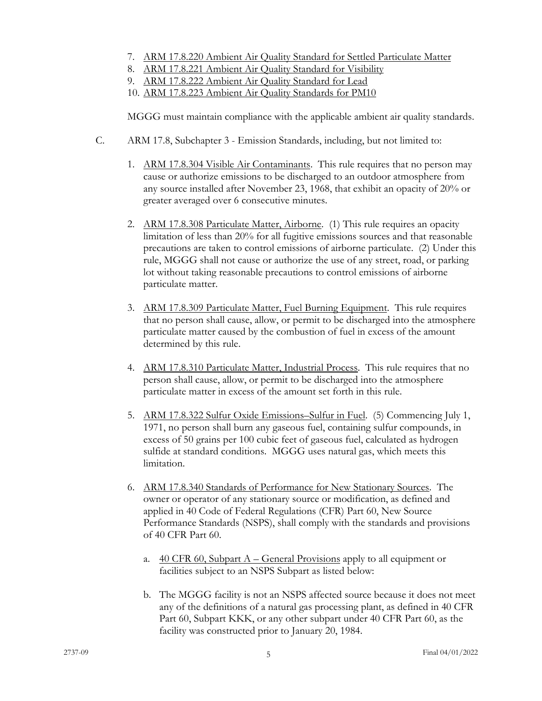- 7. ARM 17.8.220 Ambient Air Quality Standard for Settled Particulate Matter
- 8. ARM 17.8.221 Ambient Air Quality Standard for Visibility
- 9. ARM 17.8.222 Ambient Air Quality Standard for Lead
- 10. ARM 17.8.223 Ambient Air Quality Standards for PM10

MGGG must maintain compliance with the applicable ambient air quality standards.

- C. ARM 17.8, Subchapter 3 Emission Standards, including, but not limited to:
	- 1. ARM 17.8.304 Visible Air Contaminants. This rule requires that no person may cause or authorize emissions to be discharged to an outdoor atmosphere from any source installed after November 23, 1968, that exhibit an opacity of 20% or greater averaged over 6 consecutive minutes.
	- 2. ARM 17.8.308 Particulate Matter, Airborne. (1) This rule requires an opacity limitation of less than 20% for all fugitive emissions sources and that reasonable precautions are taken to control emissions of airborne particulate. (2) Under this rule, MGGG shall not cause or authorize the use of any street, road, or parking lot without taking reasonable precautions to control emissions of airborne particulate matter.
	- 3. ARM 17.8.309 Particulate Matter, Fuel Burning Equipment. This rule requires that no person shall cause, allow, or permit to be discharged into the atmosphere particulate matter caused by the combustion of fuel in excess of the amount determined by this rule.
	- 4. ARM 17.8.310 Particulate Matter, Industrial Process. This rule requires that no person shall cause, allow, or permit to be discharged into the atmosphere particulate matter in excess of the amount set forth in this rule.
	- 5. ARM 17.8.322 Sulfur Oxide Emissions–Sulfur in Fuel. (5) Commencing July 1, 1971, no person shall burn any gaseous fuel, containing sulfur compounds, in excess of 50 grains per 100 cubic feet of gaseous fuel, calculated as hydrogen sulfide at standard conditions. MGGG uses natural gas, which meets this limitation.
	- 6. ARM 17.8.340 Standards of Performance for New Stationary Sources. The owner or operator of any stationary source or modification, as defined and applied in 40 Code of Federal Regulations (CFR) Part 60, New Source Performance Standards (NSPS), shall comply with the standards and provisions of 40 CFR Part 60.
		- a.  $40 \text{ CFR } 60$ , Subpart A General Provisions apply to all equipment or facilities subject to an NSPS Subpart as listed below:
		- b. The MGGG facility is not an NSPS affected source because it does not meet any of the definitions of a natural gas processing plant, as defined in 40 CFR Part 60, Subpart KKK, or any other subpart under 40 CFR Part 60, as the facility was constructed prior to January 20, 1984.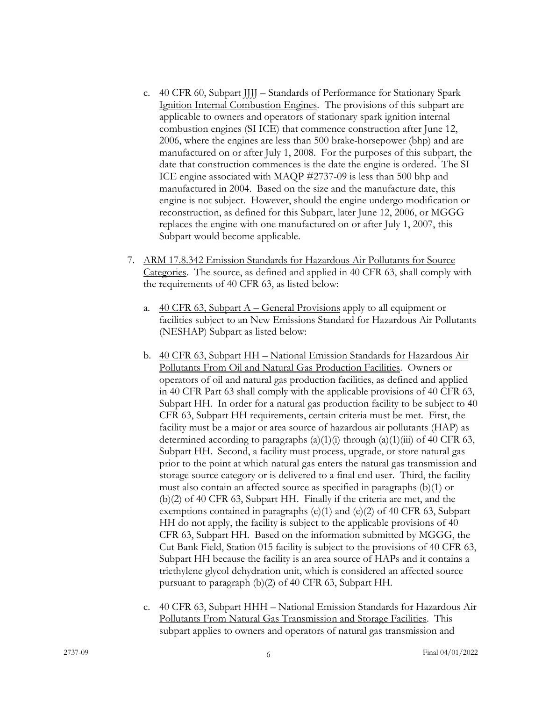- c. 40 CFR 60, Subpart JJJJ Standards of Performance for Stationary Spark Ignition Internal Combustion Engines. The provisions of this subpart are applicable to owners and operators of stationary spark ignition internal combustion engines (SI ICE) that commence construction after June 12, 2006, where the engines are less than 500 brake-horsepower (bhp) and are manufactured on or after July 1, 2008. For the purposes of this subpart, the date that construction commences is the date the engine is ordered. The SI ICE engine associated with MAQP #2737-09 is less than 500 bhp and manufactured in 2004. Based on the size and the manufacture date, this engine is not subject. However, should the engine undergo modification or reconstruction, as defined for this Subpart, later June 12, 2006, or MGGG replaces the engine with one manufactured on or after July 1, 2007, this Subpart would become applicable.
- 7. ARM 17.8.342 Emission Standards for Hazardous Air Pollutants for Source Categories. The source, as defined and applied in 40 CFR 63, shall comply with the requirements of 40 CFR 63, as listed below:
	- a.  $40 \text{ CFR } 63$ , Subpart A General Provisions apply to all equipment or facilities subject to an New Emissions Standard for Hazardous Air Pollutants (NESHAP) Subpart as listed below:
	- b. 40 CFR 63, Subpart HH National Emission Standards for Hazardous Air Pollutants From Oil and Natural Gas Production Facilities. Owners or operators of oil and natural gas production facilities, as defined and applied in 40 CFR Part 63 shall comply with the applicable provisions of 40 CFR 63, Subpart HH. In order for a natural gas production facility to be subject to 40 CFR 63, Subpart HH requirements, certain criteria must be met. First, the facility must be a major or area source of hazardous air pollutants (HAP) as determined according to paragraphs  $(a)(1)(i)$  through  $(a)(1)(iii)$  of 40 CFR 63, Subpart HH. Second, a facility must process, upgrade, or store natural gas prior to the point at which natural gas enters the natural gas transmission and storage source category or is delivered to a final end user. Third, the facility must also contain an affected source as specified in paragraphs (b)(1) or (b)(2) of 40 CFR 63, Subpart HH. Finally if the criteria are met, and the exemptions contained in paragraphs (e)(1) and (e)(2) of 40 CFR 63, Subpart HH do not apply, the facility is subject to the applicable provisions of 40 CFR 63, Subpart HH. Based on the information submitted by MGGG, the Cut Bank Field, Station 015 facility is subject to the provisions of 40 CFR 63, Subpart HH because the facility is an area source of HAPs and it contains a triethylene glycol dehydration unit, which is considered an affected source pursuant to paragraph (b)(2) of 40 CFR 63, Subpart HH.
	- c. 40 CFR 63, Subpart HHH National Emission Standards for Hazardous Air Pollutants From Natural Gas Transmission and Storage Facilities. This subpart applies to owners and operators of natural gas transmission and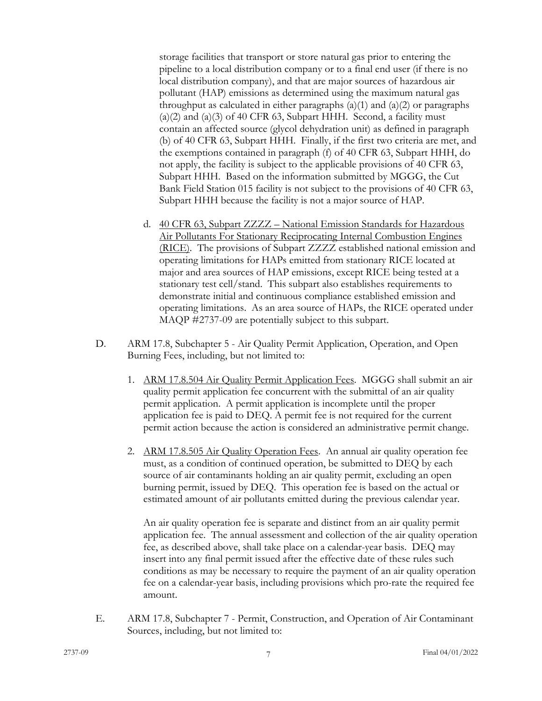storage facilities that transport or store natural gas prior to entering the pipeline to a local distribution company or to a final end user (if there is no local distribution company), and that are major sources of hazardous air pollutant (HAP) emissions as determined using the maximum natural gas throughput as calculated in either paragraphs  $(a)(1)$  and  $(a)(2)$  or paragraphs  $(a)(2)$  and  $(a)(3)$  of 40 CFR 63, Subpart HHH. Second, a facility must contain an affected source (glycol dehydration unit) as defined in paragraph (b) of 40 CFR 63, Subpart HHH. Finally, if the first two criteria are met, and the exemptions contained in paragraph (f) of 40 CFR 63, Subpart HHH, do not apply, the facility is subject to the applicable provisions of 40 CFR 63, Subpart HHH. Based on the information submitted by MGGG, the Cut Bank Field Station 015 facility is not subject to the provisions of 40 CFR 63, Subpart HHH because the facility is not a major source of HAP.

- d. 40 CFR 63, Subpart ZZZZ National Emission Standards for Hazardous Air Pollutants For Stationary Reciprocating Internal Combustion Engines (RICE). The provisions of Subpart ZZZZ established national emission and operating limitations for HAPs emitted from stationary RICE located at major and area sources of HAP emissions, except RICE being tested at a stationary test cell/stand. This subpart also establishes requirements to demonstrate initial and continuous compliance established emission and operating limitations. As an area source of HAPs, the RICE operated under MAQP #2737-09 are potentially subject to this subpart.
- D. ARM 17.8, Subchapter 5 Air Quality Permit Application, Operation, and Open Burning Fees, including, but not limited to:
	- 1. ARM 17.8.504 Air Quality Permit Application Fees. MGGG shall submit an air quality permit application fee concurrent with the submittal of an air quality permit application. A permit application is incomplete until the proper application fee is paid to DEQ. A permit fee is not required for the current permit action because the action is considered an administrative permit change.
	- 2. ARM 17.8.505 Air Quality Operation Fees. An annual air quality operation fee must, as a condition of continued operation, be submitted to DEQ by each source of air contaminants holding an air quality permit, excluding an open burning permit, issued by DEQ. This operation fee is based on the actual or estimated amount of air pollutants emitted during the previous calendar year.

An air quality operation fee is separate and distinct from an air quality permit application fee. The annual assessment and collection of the air quality operation fee, as described above, shall take place on a calendar-year basis. DEQ may insert into any final permit issued after the effective date of these rules such conditions as may be necessary to require the payment of an air quality operation fee on a calendar-year basis, including provisions which pro-rate the required fee amount.

E. ARM 17.8, Subchapter 7 - Permit, Construction, and Operation of Air Contaminant Sources, including, but not limited to: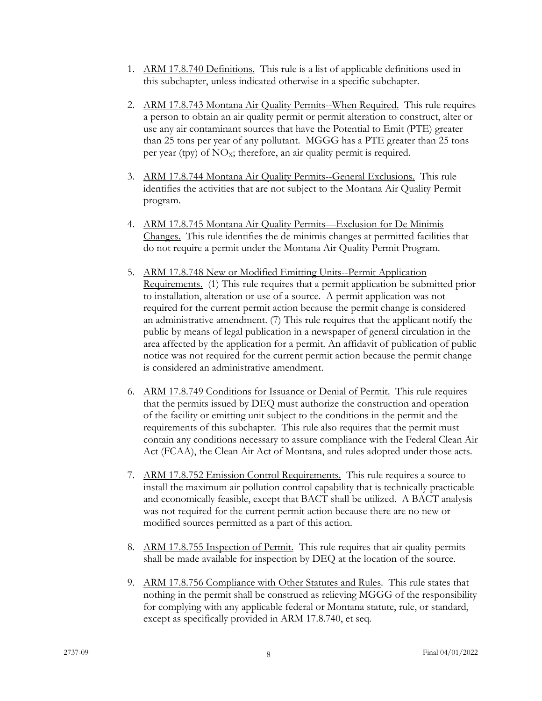- 1. ARM 17.8.740 Definitions. This rule is a list of applicable definitions used in this subchapter, unless indicated otherwise in a specific subchapter.
- 2. ARM 17.8.743 Montana Air Quality Permits--When Required. This rule requires a person to obtain an air quality permit or permit alteration to construct, alter or use any air contaminant sources that have the Potential to Emit (PTE) greater than 25 tons per year of any pollutant. MGGG has a PTE greater than 25 tons per year (tpy) of  $NO<sub>X</sub>$ ; therefore, an air quality permit is required.
- 3. ARM 17.8.744 Montana Air Quality Permits--General Exclusions. This rule identifies the activities that are not subject to the Montana Air Quality Permit program.
- 4. ARM 17.8.745 Montana Air Quality Permits—Exclusion for De Minimis Changes. This rule identifies the de minimis changes at permitted facilities that do not require a permit under the Montana Air Quality Permit Program.
- 5. ARM 17.8.748 New or Modified Emitting Units--Permit Application Requirements. (1) This rule requires that a permit application be submitted prior to installation, alteration or use of a source. A permit application was not required for the current permit action because the permit change is considered an administrative amendment. (7) This rule requires that the applicant notify the public by means of legal publication in a newspaper of general circulation in the area affected by the application for a permit. An affidavit of publication of public notice was not required for the current permit action because the permit change is considered an administrative amendment.
- 6. ARM 17.8.749 Conditions for Issuance or Denial of Permit. This rule requires that the permits issued by DEQ must authorize the construction and operation of the facility or emitting unit subject to the conditions in the permit and the requirements of this subchapter. This rule also requires that the permit must contain any conditions necessary to assure compliance with the Federal Clean Air Act (FCAA), the Clean Air Act of Montana, and rules adopted under those acts.
- 7. ARM 17.8.752 Emission Control Requirements. This rule requires a source to install the maximum air pollution control capability that is technically practicable and economically feasible, except that BACT shall be utilized. A BACT analysis was not required for the current permit action because there are no new or modified sources permitted as a part of this action.
- 8. ARM 17.8.755 Inspection of Permit. This rule requires that air quality permits shall be made available for inspection by DEQ at the location of the source.
- 9. ARM 17.8.756 Compliance with Other Statutes and Rules. This rule states that nothing in the permit shall be construed as relieving MGGG of the responsibility for complying with any applicable federal or Montana statute, rule, or standard, except as specifically provided in ARM 17.8.740, et seq.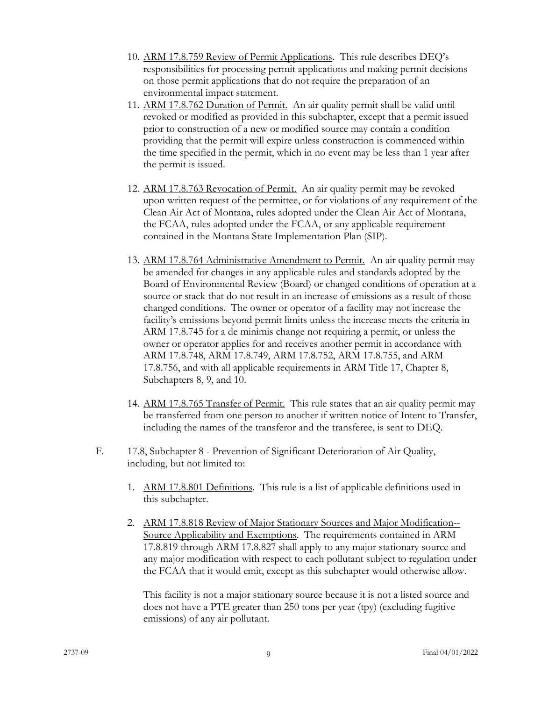- 10. ARM 17.8.759 Review of Permit Applications. This rule describes DEQ's responsibilities for processing permit applications and making permit decisions on those permit applications that do not require the preparation of an environmental impact statement.
- 11. ARM 17.8.762 Duration of Permit. An air quality permit shall be valid until revoked or modified as provided in this subchapter, except that a permit issued prior to construction of a new or modified source may contain a condition providing that the permit will expire unless construction is commenced within the time specified in the permit, which in no event may be less than 1 year after the permit is issued.
- 12. ARM 17.8.763 Revocation of Permit. An air quality permit may be revoked upon written request of the permittee, or for violations of any requirement of the Clean Air Act of Montana, rules adopted under the Clean Air Act of Montana, the FCAA, rules adopted under the FCAA, or any applicable requirement contained in the Montana State Implementation Plan (SIP).
- 13. ARM 17.8.764 Administrative Amendment to Permit. An air quality permit may be amended for changes in any applicable rules and standards adopted by the Board of Environmental Review (Board) or changed conditions of operation at a source or stack that do not result in an increase of emissions as a result of those changed conditions. The owner or operator of a facility may not increase the facility's emissions beyond permit limits unless the increase meets the criteria in ARM 17.8.745 for a de minimis change not requiring a permit, or unless the owner or operator applies for and receives another permit in accordance with ARM 17.8.748, ARM 17.8.749, ARM 17.8.752, ARM 17.8.755, and ARM 17.8.756, and with all applicable requirements in ARM Title 17, Chapter 8, Subchapters 8, 9, and 10.
- 14. ARM 17.8.765 Transfer of Permit. This rule states that an air quality permit may be transferred from one person to another if written notice of Intent to Transfer, including the names of the transferor and the transferee, is sent to DEQ.
- F. 17.8, Subchapter 8 Prevention of Significant Deterioration of Air Quality, including, but not limited to:
	- 1. ARM 17.8.801 Definitions. This rule is a list of applicable definitions used in this subchapter.
	- 2. ARM 17.8.818 Review of Major Stationary Sources and Major Modification-- Source Applicability and Exemptions. The requirements contained in ARM 17.8.819 through ARM 17.8.827 shall apply to any major stationary source and any major modification with respect to each pollutant subject to regulation under the FCAA that it would emit, except as this subchapter would otherwise allow.

This facility is not a major stationary source because it is not a listed source and does not have a PTE greater than 250 tons per year (tpy) (excluding fugitive emissions) of any air pollutant.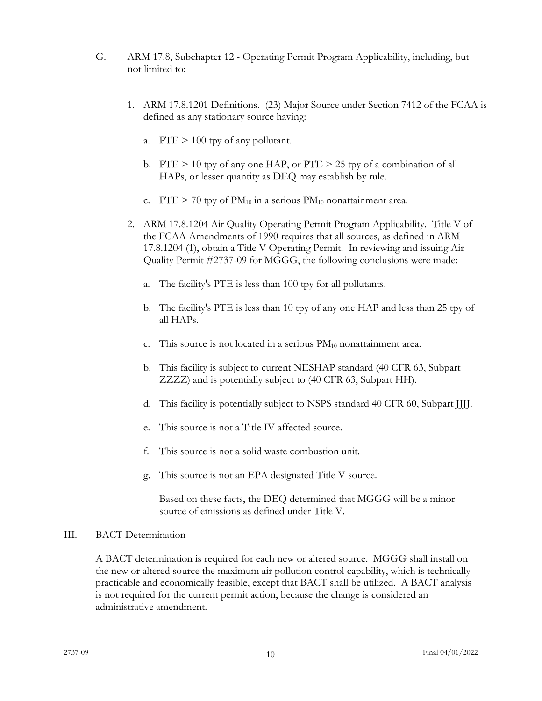- G. ARM 17.8, Subchapter 12 Operating Permit Program Applicability, including, but not limited to:
	- 1. ARM 17.8.1201 Definitions. (23) Major Source under Section 7412 of the FCAA is defined as any stationary source having:
		- a. PTE > 100 tpy of any pollutant.
		- b. PTE  $> 10$  tpy of any one HAP, or PTE  $> 25$  tpy of a combination of all HAPs, or lesser quantity as DEQ may establish by rule.
		- c. PTE  $> 70$  tpy of PM<sub>10</sub> in a serious PM<sub>10</sub> nonattainment area.
	- 2. ARM 17.8.1204 Air Quality Operating Permit Program Applicability. Title V of the FCAA Amendments of 1990 requires that all sources, as defined in ARM 17.8.1204 (1), obtain a Title V Operating Permit. In reviewing and issuing Air Quality Permit #2737-09 for MGGG, the following conclusions were made:
		- a. The facility's PTE is less than 100 tpy for all pollutants.
		- b. The facility's PTE is less than 10 tpy of any one HAP and less than 25 tpy of all HAPs.
		- c. This source is not located in a serious  $PM_{10}$  nonattainment area.
		- b. This facility is subject to current NESHAP standard (40 CFR 63, Subpart ZZZZ) and is potentially subject to (40 CFR 63, Subpart HH).
		- d. This facility is potentially subject to NSPS standard 40 CFR 60, Subpart JJJJ.
		- e. This source is not a Title IV affected source.
		- f. This source is not a solid waste combustion unit.
		- g. This source is not an EPA designated Title V source.

 Based on these facts, the DEQ determined that MGGG will be a minor source of emissions as defined under Title V.

#### III. BACT Determination

A BACT determination is required for each new or altered source. MGGG shall install on the new or altered source the maximum air pollution control capability, which is technically practicable and economically feasible, except that BACT shall be utilized. A BACT analysis is not required for the current permit action, because the change is considered an administrative amendment.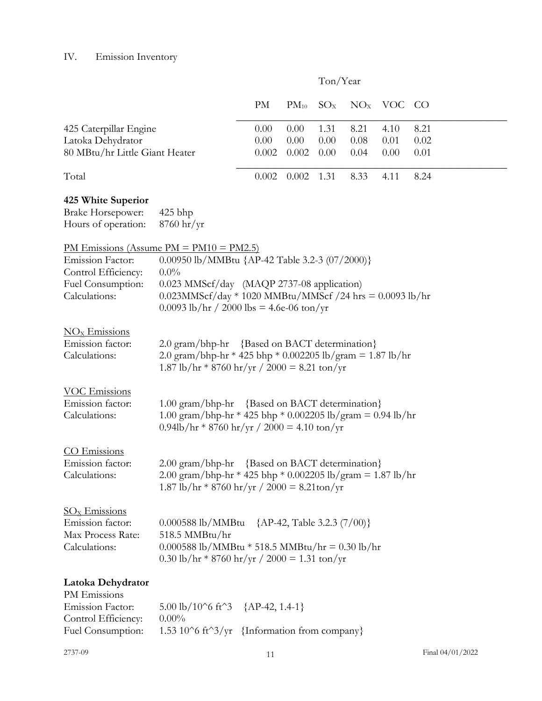# IV. Emission Inventory

|                                                                                                                                                                                                                                                                                           |                                                                                                                                                                                                                                                                     |                               |                       | Ton/Year             |                      |                      |                      |  |  |
|-------------------------------------------------------------------------------------------------------------------------------------------------------------------------------------------------------------------------------------------------------------------------------------------|---------------------------------------------------------------------------------------------------------------------------------------------------------------------------------------------------------------------------------------------------------------------|-------------------------------|-----------------------|----------------------|----------------------|----------------------|----------------------|--|--|
|                                                                                                                                                                                                                                                                                           |                                                                                                                                                                                                                                                                     | PM                            | $PM_{10}$             | $SO_{X}$             |                      | $NOx$ VOC CO         |                      |  |  |
| 425 Caterpillar Engine<br>Latoka Dehydrator<br>80 MBtu/hr Little Giant Heater                                                                                                                                                                                                             |                                                                                                                                                                                                                                                                     | 0.00<br>0.00<br>0.002         | 0.00<br>0.00<br>0.002 | 1.31<br>0.00<br>0.00 | 8.21<br>0.08<br>0.04 | 4.10<br>0.01<br>0.00 | 8.21<br>0.02<br>0.01 |  |  |
| Total                                                                                                                                                                                                                                                                                     |                                                                                                                                                                                                                                                                     | 0.002                         | 0.002                 | 1.31                 | 8.33                 | 4.11                 | 8.24                 |  |  |
| 425 White Superior<br><b>Brake Horsepower:</b><br>Hours of operation:                                                                                                                                                                                                                     | 425 bhp<br>$8760 \frac{\text{hr}}{\text{yr}}$                                                                                                                                                                                                                       |                               |                       |                      |                      |                      |                      |  |  |
| <b>Emission Factor:</b><br>Control Efficiency:<br>Fuel Consumption:<br>Calculations:                                                                                                                                                                                                      | <u>PM Emissions (Assume PM = PM10 = PM2.5)</u><br>0.00950 lb/MMBtu {AP-42 Table 3.2-3 (07/2000)}<br>$0.0\%$<br>0.023 MMScf/day (MAQP 2737-08 application)<br>$0.023$ MMScf/day * 1020 MMBtu/MMScf/24 hrs = 0.0093 lb/hr<br>0.0093 lb/hr / 2000 lbs = 4.6e-06 ton/yr |                               |                       |                      |                      |                      |                      |  |  |
| $\frac{NO_x}$ Emissions<br>Emission factor:<br>Calculations:                                                                                                                                                                                                                              | 2.0 gram/bhp-hr {Based on BACT determination}<br>2.0 gram/bhp-hr * 425 bhp * 0.002205 lb/gram = 1.87 lb/hr<br>1.87 lb/hr * 8760 hr/yr / 2000 = 8.21 ton/yr                                                                                                          |                               |                       |                      |                      |                      |                      |  |  |
| <b>VOC Emissions</b><br>Emission factor:<br>Calculations:                                                                                                                                                                                                                                 | $1.00$ gram/bhp-hr<br>1.00 gram/bhp-hr * 425 bhp * 0.002205 lb/gram = 0.94 lb/hr<br>$0.94\text{lb/hr} * 8760 \text{ hr/yr} / 2000 = 4.10 \text{ ton/yr}$                                                                                                            | {Based on BACT determination} |                       |                      |                      |                      |                      |  |  |
| CO Emissions<br>2.00 gram/bhp-hr {Based on BACT determination}<br>Emission factor:<br>2.00 gram/bhp-hr * 425 bhp * 0.002205 lb/gram = 1.87 lb/hr<br>Calculations:<br>$1.87 \text{ lb/hr} * 8760 \text{ hr/yr} / 2000 = 8.21 \text{ton/yr}$                                                |                                                                                                                                                                                                                                                                     |                               |                       |                      |                      |                      |                      |  |  |
| $\underline{\mathrm{SO}_{\mathrm{X}}}$ Emissions<br>Emission factor:<br>$0.000588$ lb/MMBtu<br>${AP-42, Table 3.2.3 (7/00)}$<br>518.5 MMBtu/hr<br>Max Process Rate:<br>Calculations:<br>$0.000588$ lb/MMBtu * 518.5 MMBtu/hr = 0.30 lb/hr<br>0.30 lb/hr * 8760 hr/yr / 2000 = 1.31 ton/yr |                                                                                                                                                                                                                                                                     |                               |                       |                      |                      |                      |                      |  |  |
| Latoka Dehydrator<br>PM Emissions<br><b>Emission Factor:</b><br>Control Efficiency:<br>Fuel Consumption:                                                                                                                                                                                  | 5.00 lb/10^6 ft^3 {AP-42, 1.4-1}<br>$0.00\%$<br>1.53 10^6 ft^3/yr {Information from company}                                                                                                                                                                        |                               |                       |                      |                      |                      |                      |  |  |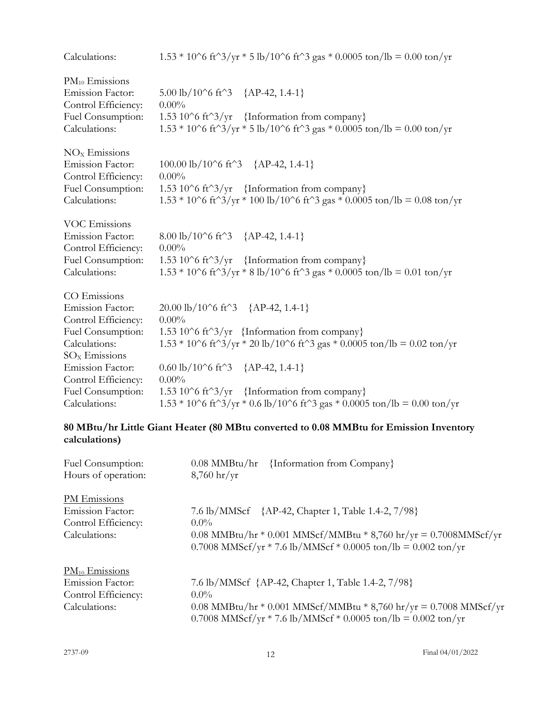| Calculations:                                                                                                                                      | $1.53 * 10^6$ ft <sup><math>3</math></sup> /yr * 5 lb/10 <sup><math>\circ</math></sup> 6 ft <sup><math>\circ</math></sup> 3 gas * 0.0005 ton/lb = 0.00 ton/yr                                                                                                                                     |
|----------------------------------------------------------------------------------------------------------------------------------------------------|---------------------------------------------------------------------------------------------------------------------------------------------------------------------------------------------------------------------------------------------------------------------------------------------------|
| $PM_{10}$ Emissions<br>Emission Factor:<br>Control Efficiency:<br>Fuel Consumption:<br>Calculations:                                               | 5.00 lb/10^6 ft^3 {AP-42, 1.4-1}<br>$0.00\%$<br>1.53 10^6 ft^3/yr {Information from company}<br>$1.53 * 10^6$ ft <sup><math>\gamma</math></sup> 3/yr $*$ 5 lb/10 $\gamma$ 6 ft $\gamma$ 3 gas $*$ 0.0005 ton/lb = 0.00 ton/yr                                                                     |
| $NOx$ Emissions<br><b>Emission Factor:</b><br>Control Efficiency:<br>Fuel Consumption:<br>Calculations:                                            | 100.00 lb/10^6 ft^3 {AP-42, 1.4-1}<br>$0.00\%$<br>1.53 10^6 ft^3/yr {Information from company}<br>$1.53 * 10^6$ ft <sup><math>\gamma</math></sup> 3/yr * 100 lb/10 <sup>o</sup> 6 ft <sup>o</sup> 3 gas * 0.0005 ton/lb = 0.08 ton/yr                                                             |
| <b>VOC Emissions</b><br><b>Emission Factor:</b><br>Control Efficiency:<br>Fuel Consumption:<br>Calculations:                                       | 8.00 lb/10^6 ft^3 {AP-42, 1.4-1}<br>$0.00\%$<br>1.53 10 $\degree$ 6 ft $\degree$ 3/yr {Information from company}<br>$1.53 * 10^6$ ft <sup><math>\gamma</math></sup> 3/yr * 8 lb/10 <sup>o</sup> 6 ft <sup>o</sup> 3 gas * 0.0005 ton/lb = 0.01 ton/yr                                             |
| CO Emissions<br><b>Emission Factor:</b><br>Control Efficiency:<br>Fuel Consumption:<br>Calculations:<br>$SOx$ Emissions<br><b>Emission Factor:</b> | 20.00 lb/10^6 ft^3 {AP-42, 1.4-1}<br>$0.00\%$<br>1.53 10^6 ft^3/yr {Information from company}<br>$1.53 * 10^6$ ft <sup><math>3</math></sup> /yr * 20 lb/10 <sup>o</sup> 6 ft <sup>o</sup> 3 gas * 0.0005 ton/lb = 0.02 ton/yr<br>$0.60 \text{ lb}/10^{\circ}6 \text{ ft}^{\circ}3$ {AP-42, 1.4-1} |
| Control Efficiency:<br>Fuel Consumption:<br>Calculations:                                                                                          | $0.00\%$<br>1.53 10^6 ft^3/yr {Information from company}<br>$1.53 * 10^6$ ft <sup><math>\gamma</math></sup> 3/yr $*$ 0.6 lb/10 $\gamma$ 6 ft $\gamma$ 3 gas $*$ 0.0005 ton/lb = 0.00 ton/yr                                                                                                       |

# **80 MBtu/hr Little Giant Heater (80 MBtu converted to 0.08 MMBtu for Emission Inventory calculations)**

| Fuel Consumption:<br>Hours of operation: | $0.08$ MMBtu/hr<br>{Information from Company}<br>$8,760 \text{ hr/yr}$ |
|------------------------------------------|------------------------------------------------------------------------|
| PM Emissions                             | 7.6 lb/MMScf {AP-42, Chapter 1, Table 1.4-2, 7/98}                     |
| <b>Emission Factor:</b>                  | $0.0\%$                                                                |
| Control Efficiency:                      | 0.08 MMBtu/hr * 0.001 MMScf/MMBtu * 8,760 hr/yr = 0.7008MMScf/yr       |
| Calculations:                            | 0.7008 MMScf/yr * 7.6 lb/MMScf * 0.0005 ton/lb = 0.002 ton/yr          |
| $PM_{10}$ Emissions                      | 7.6 lb/MMScf {AP-42, Chapter 1, Table 1.4-2, 7/98}                     |
| <b>Emission Factor:</b>                  | $0.0\%$                                                                |
| Control Efficiency:                      | 0.08 MMBtu/hr * 0.001 MMScf/MMBtu * 8,760 hr/yr = 0.7008 MMScf/yr      |
| Calculations:                            | 0.7008 MMScf/yr * 7.6 lb/MMScf * 0.0005 ton/lb = 0.002 ton/yr          |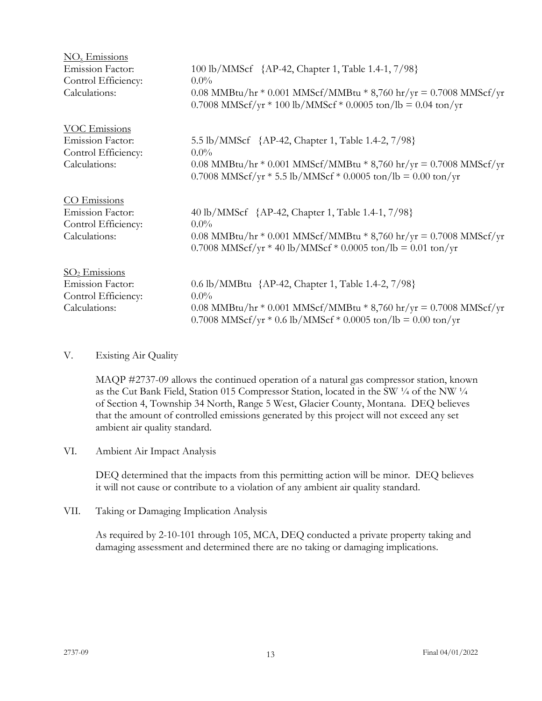| $\overline{\text{NO}_x}$ Emissions             |                                                                                                                                       |
|------------------------------------------------|---------------------------------------------------------------------------------------------------------------------------------------|
| <b>Emission Factor:</b>                        | 100 lb/MMScf {AP-42, Chapter 1, Table 1.4-1, 7/98}                                                                                    |
| Control Efficiency:                            | $0.0\%$                                                                                                                               |
| Calculations:                                  | 0.08 MMBtu/hr * 0.001 MMScf/MMBtu * 8,760 hr/yr = 0.7008 MMScf/yr<br>0.7008 MMScf/yr $*$ 100 lb/MMScf $*$ 0.0005 ton/lb = 0.04 ton/yr |
| VOC Emissions                                  |                                                                                                                                       |
| <b>Emission Factor:</b><br>Control Efficiency: | 5.5 lb/MMScf {AP-42, Chapter 1, Table 1.4-2, 7/98}<br>$0.0\%$                                                                         |
| Calculations:                                  | 0.08 MMBtu/hr * 0.001 MMScf/MMBtu * 8,760 hr/yr = 0.7008 MMScf/yr<br>0.7008 MMScf/yr $*$ 5.5 lb/MMScf $*$ 0.0005 ton/lb = 0.00 ton/yr |
| CO Emissions                                   |                                                                                                                                       |
| <b>Emission Factor:</b>                        | 40 lb/MMScf {AP-42, Chapter 1, Table 1.4-1, 7/98}                                                                                     |
| Control Efficiency:                            | $0.0\%$                                                                                                                               |
| Calculations:                                  | 0.08 MMBtu/hr * 0.001 MMScf/MMBtu * 8,760 hr/yr = 0.7008 MMScf/yr<br>0.7008 MMScf/yr * 40 lb/MMScf * 0.0005 ton/lb = 0.01 ton/yr      |
| $SO2$ Emissions                                |                                                                                                                                       |
| <b>Emission Factor:</b>                        | 0.6 lb/MMBtu {AP-42, Chapter 1, Table 1.4-2, 7/98}                                                                                    |
| Control Efficiency:                            | $0.0\%$                                                                                                                               |
| Calculations:                                  | 0.08 MMBtu/hr * 0.001 MMScf/MMBtu * 8,760 hr/yr = 0.7008 MMScf/yr<br>0.7008 MMScf/yr $*$ 0.6 lb/MMScf $*$ 0.0005 ton/lb = 0.00 ton/yr |

## V. Existing Air Quality

MAQP #2737-09 allows the continued operation of a natural gas compressor station, known as the Cut Bank Field, Station 015 Compressor Station, located in the SW ¼ of the NW ¼ of Section 4, Township 34 North, Range 5 West, Glacier County, Montana. DEQ believes that the amount of controlled emissions generated by this project will not exceed any set ambient air quality standard.

## VI. Ambient Air Impact Analysis

DEQ determined that the impacts from this permitting action will be minor. DEQ believes it will not cause or contribute to a violation of any ambient air quality standard.

VII. Taking or Damaging Implication Analysis

As required by 2-10-101 through 105, MCA, DEQ conducted a private property taking and damaging assessment and determined there are no taking or damaging implications.